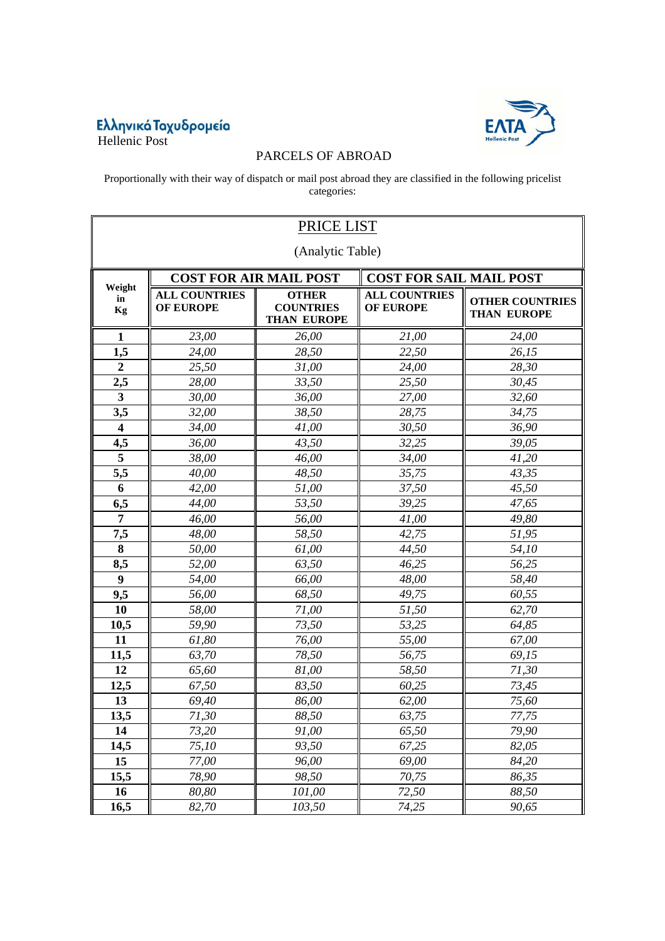## Eλληνικά Taχυδρομεία<br>Hellenic Post



## PARCELS OF ABROAD

Proportionally with their way of dispatch or mail post abroad they are classified in the following pricelist categories:

| PRICE LIST              |                                          |                                                        |                                          |                                              |  |  |  |
|-------------------------|------------------------------------------|--------------------------------------------------------|------------------------------------------|----------------------------------------------|--|--|--|
| (Analytic Table)        |                                          |                                                        |                                          |                                              |  |  |  |
|                         |                                          | <b>COST FOR AIR MAIL POST</b>                          | <b>COST FOR SAIL MAIL POST</b>           |                                              |  |  |  |
| Weight<br>in<br>Kg      | <b>ALL COUNTRIES</b><br><b>OF EUROPE</b> | <b>OTHER</b><br><b>COUNTRIES</b><br><b>THAN EUROPE</b> | <b>ALL COUNTRIES</b><br><b>OF EUROPE</b> | <b>OTHER COUNTRIES</b><br><b>THAN EUROPE</b> |  |  |  |
| $\mathbf{1}$            | 23,00                                    | 26,00                                                  | 21,00                                    | 24,00                                        |  |  |  |
| 1,5                     | 24,00                                    | 28,50                                                  | 22,50                                    | 26,15                                        |  |  |  |
| $\boldsymbol{2}$        | 25,50                                    | 31,00                                                  | 24,00                                    | 28,30                                        |  |  |  |
| 2,5                     | 28,00                                    | 33,50                                                  | 25,50                                    | 30,45                                        |  |  |  |
| $\mathbf{3}$            | 30,00                                    | 36,00                                                  | 27,00                                    | 32,60                                        |  |  |  |
| 3,5                     | 32,00                                    | 38,50                                                  | 28,75                                    | 34,75                                        |  |  |  |
| $\overline{\mathbf{4}}$ | 34,00                                    | 41,00                                                  | 30,50                                    | 36,90                                        |  |  |  |
| 4,5                     | 36,00                                    | 43,50                                                  | 32,25                                    | 39,05                                        |  |  |  |
| 5                       | 38,00                                    | 46,00                                                  | 34,00                                    | 41,20                                        |  |  |  |
| 5,5                     | 40,00                                    | 48,50                                                  | 35,75                                    | 43,35                                        |  |  |  |
| 6                       | 42,00                                    | 51,00                                                  | 37,50                                    | 45,50                                        |  |  |  |
| 6,5                     | 44,00                                    | 53,50                                                  | 39,25                                    | 47,65                                        |  |  |  |
| 7                       | 46,00                                    | 56,00                                                  | 41,00                                    | 49,80                                        |  |  |  |
| 7,5                     | 48,00                                    | 58,50                                                  | 42,75                                    | 51,95                                        |  |  |  |
| 8                       | 50,00                                    | 61,00                                                  | 44,50                                    | 54,10                                        |  |  |  |
| 8,5                     | 52,00                                    | 63,50                                                  | 46,25                                    | 56,25                                        |  |  |  |
| $\boldsymbol{9}$        | 54,00                                    | 66,00                                                  | 48,00                                    | 58,40                                        |  |  |  |
| 9,5                     | 56,00                                    | 68,50                                                  | 49,75                                    | 60,55                                        |  |  |  |
| 10                      | 58,00                                    | 71,00                                                  | 51,50                                    | 62,70                                        |  |  |  |
| 10,5                    | 59,90                                    | 73,50                                                  | 53,25                                    | 64,85                                        |  |  |  |
| 11                      | 61,80                                    | 76,00                                                  | 55,00                                    | 67,00                                        |  |  |  |
| 11,5                    | 63,70                                    | 78,50                                                  | 56,75                                    | 69,15                                        |  |  |  |
| 12                      | 65,60                                    | 81,00                                                  | 58,50                                    | 71,30                                        |  |  |  |
| 12,5                    | 67,50                                    | 83,50                                                  | 60,25                                    | 73,45                                        |  |  |  |
| 13                      | 69,40                                    | 86,00                                                  | 62,00                                    | 75,60                                        |  |  |  |
| 13,5                    | 71,30                                    | 88,50                                                  | 63,75                                    | 77,75                                        |  |  |  |
| 14                      | 73,20                                    | 91,00                                                  | 65,50                                    | 79,90                                        |  |  |  |
| 14,5                    | 75,10                                    | 93,50                                                  | 67,25                                    | 82,05                                        |  |  |  |
| 15                      | 77,00                                    | 96,00                                                  | 69,00                                    | 84,20                                        |  |  |  |
| 15,5                    | 78,90                                    | 98,50                                                  | 70,75                                    | 86,35                                        |  |  |  |
| 16                      | 80,80                                    | 101,00                                                 | 72,50                                    | 88,50                                        |  |  |  |
| 16,5                    | 82,70                                    | 103,50                                                 | 74,25                                    | 90,65                                        |  |  |  |